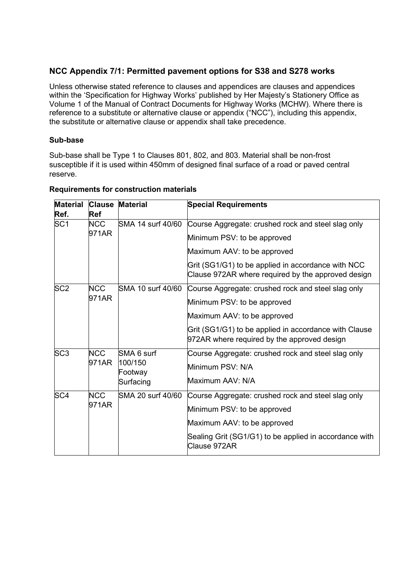## **NCC Appendix 7/1: Permitted pavement options for S38 and S278 works**

Unless otherwise stated reference to clauses and appendices are clauses and appendices within the 'Specification for Highway Works' published by Her Majesty's Stationery Office as Volume 1 of the Manual of Contract Documents for Highway Works (MCHW). Where there is reference to a substitute or alternative clause or appendix ("NCC"), including this appendix, the substitute or alternative clause or appendix shall take precedence.

## **Sub-base**

Sub-base shall be Type 1 to Clauses 801, 802, and 803. Material shall be non-frost susceptible if it is used within 450mm of designed final surface of a road or paved central reserve.

| <b>Material</b><br>Ref. | Ref                 | <b>Clause Material</b>                        | <b>Special Requirements</b>                                                                              |
|-------------------------|---------------------|-----------------------------------------------|----------------------------------------------------------------------------------------------------------|
| SC <sub>1</sub>         | NCC.<br>971AR       | SMA 14 surf 40/60                             | Course Aggregate: crushed rock and steel slag only                                                       |
|                         |                     |                                               | Minimum PSV: to be approved                                                                              |
|                         |                     |                                               | Maximum AAV: to be approved                                                                              |
|                         |                     |                                               | Grit (SG1/G1) to be applied in accordance with NCC<br>Clause 972AR where required by the approved design |
| SC <sub>2</sub>         | <b>NCC</b>          | ISMA 10 surf 40/60                            | Course Aggregate: crushed rock and steel slag only                                                       |
|                         | 971AR               |                                               | Minimum PSV: to be approved                                                                              |
|                         |                     |                                               | Maximum AAV: to be approved                                                                              |
|                         |                     |                                               | Grit (SG1/G1) to be applied in accordance with Clause<br>972AR where required by the approved design     |
| SC <sub>3</sub>         | <b>NCC</b><br>971AR | SMA 6 surf<br>100/150<br>Footway<br>Surfacing | Course Aggregate: crushed rock and steel slag only                                                       |
|                         |                     |                                               | Minimum PSV: N/A                                                                                         |
|                         |                     |                                               | Maximum AAV: N/A                                                                                         |
| SC <sub>4</sub>         | <b>NCC</b><br>971AR | SMA 20 surf 40/60                             | Course Aggregate: crushed rock and steel slag only                                                       |
|                         |                     |                                               | Minimum PSV: to be approved                                                                              |
|                         |                     |                                               | Maximum AAV: to be approved                                                                              |
|                         |                     |                                               | Sealing Grit (SG1/G1) to be applied in accordance with<br>Clause 972AR                                   |

## **Requirements for construction materials**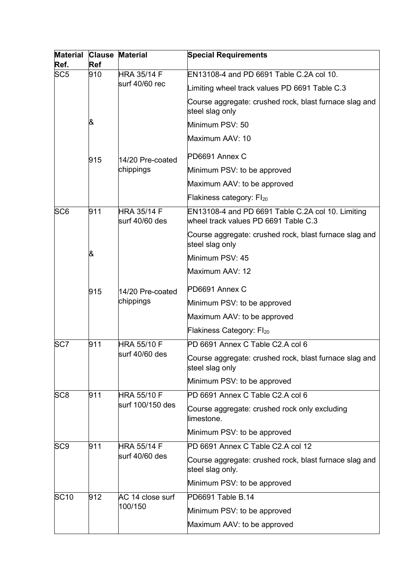| Material Clause Material<br>Ref. | <b>Ref</b> |                                        | <b>Special Requirements</b>                                                               |
|----------------------------------|------------|----------------------------------------|-------------------------------------------------------------------------------------------|
| SC <sub>5</sub>                  | 910        | <b>HRA 35/14 F</b>                     | EN13108-4 and PD 6691 Table C.2A col 10.                                                  |
|                                  |            | surf 40/60 rec                         | Limiting wheel track values PD 6691 Table C.3                                             |
|                                  |            |                                        | Course aggregate: crushed rock, blast furnace slag and<br>steel slag only                 |
|                                  | &          |                                        | Minimum PSV: 50                                                                           |
|                                  |            |                                        | Maximum AAV: 10                                                                           |
|                                  | 915        | 14/20 Pre-coated                       | PD6691 Annex C                                                                            |
|                                  |            | chippings                              | Minimum PSV: to be approved                                                               |
|                                  |            |                                        | Maximum AAV: to be approved                                                               |
|                                  |            |                                        | Flakiness category: Fl20                                                                  |
| SC <sub>6</sub>                  | 911        | <b>HRA 35/14 F</b><br>surf 40/60 des   | EN13108-4 and PD 6691 Table C.2A col 10. Limiting<br>wheel track values PD 6691 Table C.3 |
|                                  |            |                                        | Course aggregate: crushed rock, blast furnace slag and<br>steel slag only                 |
|                                  | &          |                                        | Minimum PSV: 45                                                                           |
|                                  |            |                                        | Maximum AAV: 12                                                                           |
|                                  | 915        | 14/20 Pre-coated<br>chippings          | PD6691 Annex C                                                                            |
|                                  |            |                                        | Minimum PSV: to be approved                                                               |
|                                  |            |                                        | Maximum AAV: to be approved                                                               |
|                                  |            |                                        | Flakiness Category: Fl20                                                                  |
| SC <sub>7</sub>                  | 911        | <b>HRA 55/10 F</b><br>surf 40/60 des   | PD 6691 Annex C Table C2.A col 6                                                          |
|                                  |            |                                        | Course aggregate: crushed rock, blast furnace slag and<br>steel slag only                 |
|                                  |            |                                        | Minimum PSV: to be approved                                                               |
| SC <sub>8</sub>                  | 911        | <b>HRA 55/10 F</b><br>surf 100/150 des | PD 6691 Annex C Table C2.A col 6                                                          |
|                                  |            |                                        | Course aggregate: crushed rock only excluding<br>limestone.                               |
|                                  |            |                                        | Minimum PSV: to be approved                                                               |
| SC <sub>9</sub>                  | 911        | <b>HRA 55/14 F</b><br>surf 40/60 des   | PD 6691 Annex C Table C2.A col 12                                                         |
|                                  |            |                                        | Course aggregate: crushed rock, blast furnace slag and<br>steel slag only.                |
|                                  |            |                                        | Minimum PSV: to be approved                                                               |
| <b>SC10</b>                      | 912        | AC 14 close surf<br>100/150            | PD6691 Table B.14                                                                         |
|                                  |            |                                        | Minimum PSV: to be approved                                                               |
|                                  |            |                                        | Maximum AAV: to be approved                                                               |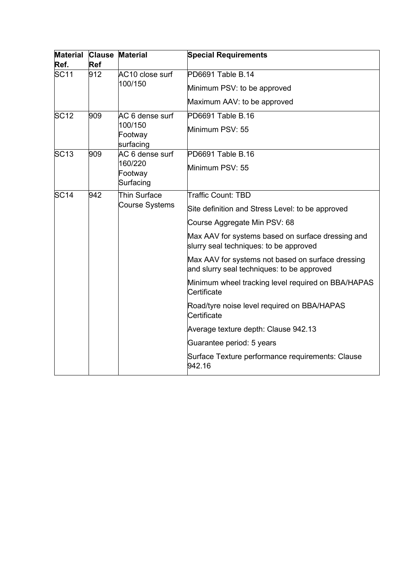| Material Clause<br>Ref. | <b>Ref</b> | <b>Material</b>                                    | <b>Special Requirements</b>                                                                     |
|-------------------------|------------|----------------------------------------------------|-------------------------------------------------------------------------------------------------|
| <b>SC11</b><br>912      |            | AC10 close surf<br>100/150                         | PD6691 Table B.14                                                                               |
|                         |            |                                                    | Minimum PSV: to be approved                                                                     |
|                         |            |                                                    | Maximum AAV: to be approved                                                                     |
| <b>SC12</b>             | 909        | AC 6 dense surf<br>100/150<br>Footway<br>surfacing | PD6691 Table B.16                                                                               |
|                         |            |                                                    | Minimum PSV: 55                                                                                 |
| SC <sub>13</sub>        | 909        | AC 6 dense surf<br>160/220<br>Footway<br>Surfacing | PD6691 Table B.16                                                                               |
|                         |            |                                                    | Minimum PSV: 55                                                                                 |
| <b>SC14</b>             | 942        | Thin Surface<br><b>Course Systems</b>              | <b>Traffic Count: TBD</b>                                                                       |
|                         |            |                                                    | Site definition and Stress Level: to be approved                                                |
|                         |            |                                                    | Course Aggregate Min PSV: 68                                                                    |
|                         |            |                                                    | Max AAV for systems based on surface dressing and<br>slurry seal techniques: to be approved     |
|                         |            |                                                    | Max AAV for systems not based on surface dressing<br>and slurry seal techniques: to be approved |
|                         |            |                                                    | Minimum wheel tracking level required on BBA/HAPAS<br>Certificate                               |
|                         |            |                                                    | Road/tyre noise level required on BBA/HAPAS<br>Certificate                                      |
|                         |            |                                                    | Average texture depth: Clause 942.13                                                            |
|                         |            |                                                    | Guarantee period: 5 years                                                                       |
|                         |            |                                                    | Surface Texture performance requirements: Clause<br>942.16                                      |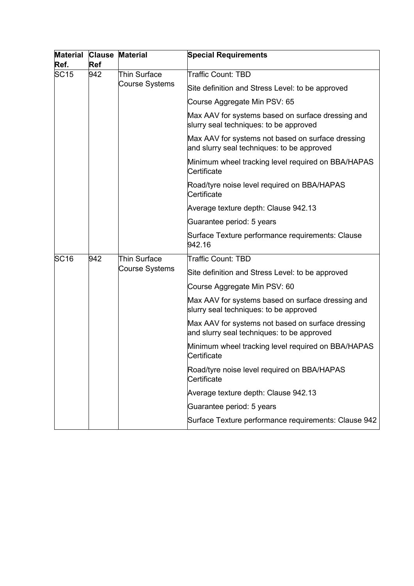| <b>Material</b><br>Ref. | <b>Clause</b><br><b>Ref</b> | <b>Material</b>                | <b>Special Requirements</b>                                                                     |
|-------------------------|-----------------------------|--------------------------------|-------------------------------------------------------------------------------------------------|
| <b>SC15</b>             | 942                         | Thin Surface<br>Course Systems | Traffic Count: TBD                                                                              |
|                         |                             |                                | Site definition and Stress Level: to be approved                                                |
|                         |                             |                                | Course Aggregate Min PSV: 65                                                                    |
|                         |                             |                                | Max AAV for systems based on surface dressing and<br>slurry seal techniques: to be approved     |
|                         |                             |                                | Max AAV for systems not based on surface dressing<br>and slurry seal techniques: to be approved |
|                         |                             |                                | Minimum wheel tracking level required on BBA/HAPAS<br>Certificate                               |
|                         |                             |                                | Road/tyre noise level required on BBA/HAPAS<br>Certificate                                      |
|                         |                             |                                | Average texture depth: Clause 942.13                                                            |
|                         |                             |                                | Guarantee period: 5 years                                                                       |
|                         |                             |                                | Surface Texture performance requirements: Clause<br>942.16                                      |
| <b>SC16</b>             | 942                         | Thin Surface<br>Course Systems | <b>Traffic Count: TBD</b>                                                                       |
|                         |                             |                                | Site definition and Stress Level: to be approved                                                |
|                         |                             |                                | Course Aggregate Min PSV: 60                                                                    |
|                         |                             |                                | Max AAV for systems based on surface dressing and<br>slurry seal techniques: to be approved     |
|                         |                             |                                | Max AAV for systems not based on surface dressing<br>and slurry seal techniques: to be approved |
|                         |                             |                                | Minimum wheel tracking level required on BBA/HAPAS<br>Certificate                               |
|                         |                             |                                | Road/tyre noise level required on BBA/HAPAS<br>Certificate                                      |
|                         |                             |                                | Average texture depth: Clause 942.13                                                            |
|                         |                             |                                | Guarantee period: 5 years                                                                       |
|                         |                             |                                | Surface Texture performance requirements: Clause 942                                            |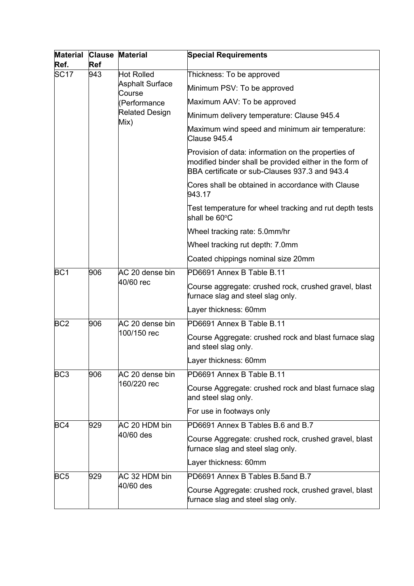| <b>Material</b><br>Ref. | <b>Clause</b><br><b>Ref</b> | <b>Material</b>                                                                                        | <b>Special Requirements</b>                                                                                                                                      |
|-------------------------|-----------------------------|--------------------------------------------------------------------------------------------------------|------------------------------------------------------------------------------------------------------------------------------------------------------------------|
| SC <sub>17</sub>        | 943                         | <b>Hot Rolled</b><br><b>Asphalt Surface</b><br>Course<br>(Performance<br><b>Related Design</b><br>Mix) | Thickness: To be approved                                                                                                                                        |
|                         |                             |                                                                                                        | Minimum PSV: To be approved                                                                                                                                      |
|                         |                             |                                                                                                        | Maximum AAV: To be approved                                                                                                                                      |
|                         |                             |                                                                                                        | Minimum delivery temperature: Clause 945.4                                                                                                                       |
|                         |                             |                                                                                                        | Maximum wind speed and minimum air temperature:<br>Clause 945.4                                                                                                  |
|                         |                             |                                                                                                        | Provision of data: information on the properties of<br>modified binder shall be provided either in the form of<br>BBA certificate or sub-Clauses 937.3 and 943.4 |
|                         |                             |                                                                                                        | Cores shall be obtained in accordance with Clause<br>943.17                                                                                                      |
|                         |                             |                                                                                                        | Test temperature for wheel tracking and rut depth tests<br>shall be 60°C                                                                                         |
|                         |                             |                                                                                                        | Wheel tracking rate: 5.0mm/hr                                                                                                                                    |
|                         |                             |                                                                                                        | Wheel tracking rut depth: 7.0mm                                                                                                                                  |
|                         |                             |                                                                                                        | Coated chippings nominal size 20mm                                                                                                                               |
| BC <sub>1</sub>         | 906                         | AC 20 dense bin<br>40/60 rec                                                                           | PD6691 Annex B Table B.11                                                                                                                                        |
|                         |                             |                                                                                                        | Course aggregate: crushed rock, crushed gravel, blast<br>furnace slag and steel slag only.                                                                       |
|                         |                             |                                                                                                        | Layer thickness: 60mm                                                                                                                                            |
| BC <sub>2</sub>         | 906                         | AC 20 dense bin<br>100/150 rec                                                                         | PD6691 Annex B Table B.11                                                                                                                                        |
|                         |                             |                                                                                                        | Course Aggregate: crushed rock and blast furnace slag<br>and steel slag only.                                                                                    |
|                         |                             |                                                                                                        | Layer thickness: 60mm                                                                                                                                            |
| BC <sub>3</sub>         | 906                         | AC 20 dense bin<br>160/220 rec                                                                         | PD6691 Annex B Table B.11                                                                                                                                        |
|                         |                             |                                                                                                        | Course Aggregate: crushed rock and blast furnace slag<br>and steel slag only.                                                                                    |
|                         |                             |                                                                                                        | For use in footways only                                                                                                                                         |
| BC4                     | 929                         | AC 20 HDM bin<br>40/60 des                                                                             | PD6691 Annex B Tables B.6 and B.7                                                                                                                                |
|                         |                             |                                                                                                        | Course Aggregate: crushed rock, crushed gravel, blast<br>furnace slag and steel slag only.                                                                       |
|                         |                             |                                                                                                        | Layer thickness: 60mm                                                                                                                                            |
| BC <sub>5</sub>         | 929                         | AC 32 HDM bin<br>40/60 des                                                                             | PD6691 Annex B Tables B.5and B.7                                                                                                                                 |
|                         |                             |                                                                                                        | Course Aggregate: crushed rock, crushed gravel, blast<br>furnace slag and steel slag only.                                                                       |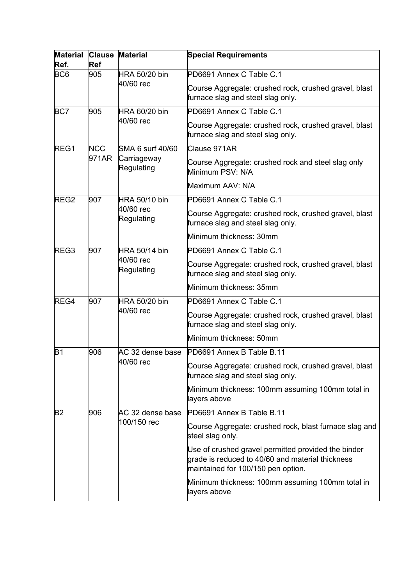| <b>Material</b><br>Ref. | <b>Clause</b><br><b>Ref</b> | <b>Material</b>                                                                            | <b>Special Requirements</b>                                                                                                                   |
|-------------------------|-----------------------------|--------------------------------------------------------------------------------------------|-----------------------------------------------------------------------------------------------------------------------------------------------|
| BC <sub>6</sub>         | 905                         | HRA 50/20 bin                                                                              | PD6691 Annex C Table C.1                                                                                                                      |
|                         | 40/60 rec                   | Course Aggregate: crushed rock, crushed gravel, blast<br>furnace slag and steel slag only. |                                                                                                                                               |
| BC7                     | 905                         | HRA 60/20 bin<br>40/60 rec                                                                 | PD6691 Annex C Table C.1                                                                                                                      |
|                         |                             |                                                                                            | Course Aggregate: crushed rock, crushed gravel, blast<br>furnace slag and steel slag only.                                                    |
| REG1                    | <b>NCC</b>                  | SMA 6 surf 40/60<br>Carriageway<br>Regulating                                              | Clause 971AR                                                                                                                                  |
|                         | 971AR                       |                                                                                            | Course Aggregate: crushed rock and steel slag only<br>Minimum PSV: N/A                                                                        |
|                         |                             |                                                                                            | Maximum AAV: N/A                                                                                                                              |
| REG <sub>2</sub>        | 907                         | HRA 50/10 bin<br>40/60 rec<br>Regulating                                                   | PD6691 Annex C Table C.1                                                                                                                      |
|                         |                             |                                                                                            | Course Aggregate: crushed rock, crushed gravel, blast<br>furnace slag and steel slag only.                                                    |
|                         |                             |                                                                                            | Minimum thickness: 30mm                                                                                                                       |
| REG3                    | 907                         | HRA 50/14 bin<br>40/60 rec<br>Regulating                                                   | PD6691 Annex C Table C.1                                                                                                                      |
|                         |                             |                                                                                            | Course Aggregate: crushed rock, crushed gravel, blast<br>furnace slag and steel slag only.                                                    |
|                         |                             |                                                                                            | Minimum thickness: 35mm                                                                                                                       |
| REG4                    | 907                         | HRA 50/20 bin<br>40/60 rec                                                                 | PD6691 Annex C Table C.1                                                                                                                      |
|                         |                             |                                                                                            | Course Aggregate: crushed rock, crushed gravel, blast<br>furnace slag and steel slag only.                                                    |
|                         |                             |                                                                                            | Minimum thickness: 50mm                                                                                                                       |
| <b>B1</b>               | 906                         | AC 32 dense base<br>40/60 rec                                                              | PD6691 Annex B Table B.11                                                                                                                     |
|                         |                             |                                                                                            | Course Aggregate: crushed rock, crushed gravel, blast<br>furnace slag and steel slag only.                                                    |
|                         |                             |                                                                                            | Minimum thickness: 100mm assuming 100mm total in<br>layers above                                                                              |
| B2                      | 906                         | AC 32 dense base<br>100/150 rec                                                            | PD6691 Annex B Table B.11                                                                                                                     |
|                         |                             |                                                                                            | Course Aggregate: crushed rock, blast furnace slag and<br>steel slag only.                                                                    |
|                         |                             |                                                                                            | Use of crushed gravel permitted provided the binder<br>grade is reduced to 40/60 and material thickness<br>maintained for 100/150 pen option. |
|                         |                             |                                                                                            | Minimum thickness: 100mm assuming 100mm total in<br>layers above                                                                              |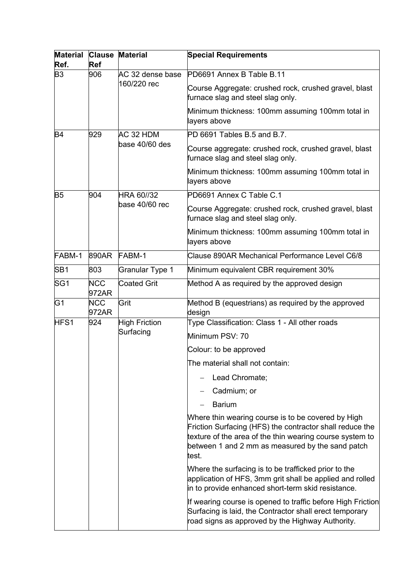| <b>Material</b><br>Ref. | <b>Ref</b>          | <b>Clause Material</b>            | <b>Special Requirements</b>                                                                                                                                                                                                             |
|-------------------------|---------------------|-----------------------------------|-----------------------------------------------------------------------------------------------------------------------------------------------------------------------------------------------------------------------------------------|
| B <sub>3</sub>          | 906                 | AC 32 dense base<br>160/220 rec   | PD6691 Annex B Table B.11                                                                                                                                                                                                               |
|                         |                     |                                   | Course Aggregate: crushed rock, crushed gravel, blast<br>furnace slag and steel slag only.                                                                                                                                              |
|                         |                     |                                   | Minimum thickness: 100mm assuming 100mm total in<br>layers above                                                                                                                                                                        |
| B <sub>4</sub>          | 929                 | AC 32 HDM                         | PD 6691 Tables B.5 and B.7.                                                                                                                                                                                                             |
|                         |                     | base 40/60 des                    | Course aggregate: crushed rock, crushed gravel, blast<br>furnace slag and steel slag only.                                                                                                                                              |
|                         |                     |                                   | Minimum thickness: 100mm assuming 100mm total in<br>layers above                                                                                                                                                                        |
| B <sub>5</sub>          | 904                 | <b>HRA 60//32</b>                 | PD6691 Annex C Table C.1                                                                                                                                                                                                                |
|                         |                     | base 40/60 rec                    | Course Aggregate: crushed rock, crushed gravel, blast<br>furnace slag and steel slag only.                                                                                                                                              |
|                         |                     |                                   | Minimum thickness: 100mm assuming 100mm total in<br>layers above                                                                                                                                                                        |
| FABM-1                  | 890AR               | FABM-1                            | Clause 890AR Mechanical Performance Level C6/8                                                                                                                                                                                          |
| SB <sub>1</sub>         | 803                 | <b>Granular Type 1</b>            | Minimum equivalent CBR requirement 30%                                                                                                                                                                                                  |
| SG <sub>1</sub>         | <b>NCC</b><br>972AR | <b>Coated Grit</b>                | Method A as required by the approved design                                                                                                                                                                                             |
| G <sub>1</sub>          | <b>NCC</b><br>972AR | Grit                              | Method B (equestrians) as required by the approved<br>design                                                                                                                                                                            |
| HFS1                    | 924                 | <b>High Friction</b><br>Surfacing | Type Classification: Class 1 - All other roads                                                                                                                                                                                          |
|                         |                     |                                   | Minimum PSV: 70                                                                                                                                                                                                                         |
|                         |                     |                                   | Colour: to be approved                                                                                                                                                                                                                  |
|                         |                     |                                   | The material shall not contain:                                                                                                                                                                                                         |
|                         |                     |                                   | Lead Chromate;                                                                                                                                                                                                                          |
|                         |                     |                                   | Cadmium; or                                                                                                                                                                                                                             |
|                         |                     |                                   | <b>Barium</b>                                                                                                                                                                                                                           |
|                         |                     |                                   | Where thin wearing course is to be covered by High<br>Friction Surfacing (HFS) the contractor shall reduce the<br>texture of the area of the thin wearing course system to<br>between 1 and 2 mm as measured by the sand patch<br>test. |
|                         |                     |                                   | Where the surfacing is to be trafficked prior to the<br>application of HFS, 3mm grit shall be applied and rolled<br>in to provide enhanced short-term skid resistance.                                                                  |
|                         |                     |                                   | If wearing course is opened to traffic before High Friction<br>Surfacing is laid, the Contractor shall erect temporary<br>road signs as approved by the Highway Authority.                                                              |